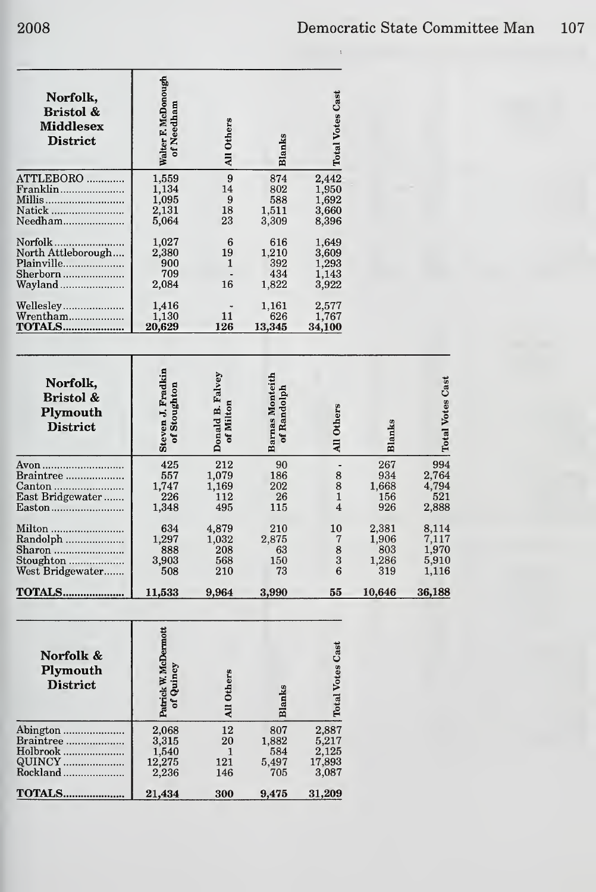994<br>2,764<br>4,794<br>2,888<br>2,888

8,114<br>7,117<br>1,970<br>5,910<br>1,116

36,188

| Norfolk,<br>Bristol &<br><b>Middlesex</b><br><b>District</b>        | Walter F. McDonough<br>of Needham            | All Others                          | Blanks                                | <b>Total Votes Cast</b>                    |                                       |
|---------------------------------------------------------------------|----------------------------------------------|-------------------------------------|---------------------------------------|--------------------------------------------|---------------------------------------|
| ATTLEBORO<br>Franklin<br>Millis<br>Natick<br>Needham                | 1,559<br>1,134<br>1,095<br>2,131<br>5,064    | 9<br>14<br>9<br>18<br>23            | 874<br>802<br>588<br>1,511<br>3,309   | 2,442<br>1,950<br>1,692<br>3,660<br>8,396  |                                       |
| Norfolk.<br>North Attleborough<br>Plainville<br>Sherborn<br>Wayland | 1,027<br>2,380<br>900<br>709<br>2,084        | 6<br>19<br>$\mathbf{1}$<br>16       | 616<br>1,210<br>392<br>434<br>1,822   | 1,649<br>3,609<br>1,293<br>1,143<br>3,922  |                                       |
| Wellesley<br>Wrentham<br><b>TOTALS</b>                              | 1,416<br>1,130<br>20,629                     | 11<br>126                           | 1,161<br>626<br>13,345                | 2,577<br>1,767<br>34,100                   |                                       |
| Norfolk,<br>Bristol &<br>Plymouth<br><b>District</b>                | Steven J. Fradkin<br>Stoughton<br>$\sigma$ f | Donald B. Falvey<br>of Milton       | <b>Barnas Monteith</b><br>of Randolph | All Others                                 | Blanks                                |
| Avon<br>Braintree<br>Canton<br>East Bridgewater<br>Easton           | 425<br>557<br>1,747<br>226<br>1,348          | 212<br>1,079<br>1,169<br>112<br>495 | 90<br>186<br>202<br>26<br>115         | 8<br>8<br>$\mathbf{1}$<br>$\overline{4}$   | 267<br>934<br>1,668<br>156<br>926     |
| Milton<br>Randolph<br>Sharon<br>Stoughton<br>West Bridgewater       | 634<br>1,297<br>888<br>3,903<br>508          | 4,879<br>1,032<br>208<br>568<br>210 | 210<br>2,875<br>63<br>150<br>73       | 10<br>7<br>8<br>3<br>6                     | 2,381<br>1,906<br>803<br>1,286<br>319 |
| <b>TOTALS</b>                                                       | 11,533                                       | 9,964                               | 3,990                                 | 55                                         | 10,646                                |
| Norfolk &<br>Plymouth<br><b>District</b>                            | Patrick W. McDermott<br>of Quincy            | All Others                          | Blanks                                | <b>Total Votes Cast</b>                    |                                       |
| Abington<br>Braintree<br>Holbrook<br><b>QUINCY</b><br>Rockland      | 2,068<br>3,315<br>1,540<br>12,275<br>2,236   | 12<br>20<br>1<br>121<br>146         | 807<br>1,882<br>584<br>5,497<br>705   | 2,887<br>5,217<br>2,125<br>17,893<br>3,087 |                                       |
| <b>TOTALS</b>                                                       | 21,434                                       | 300                                 | 9,475                                 | 31,209                                     |                                       |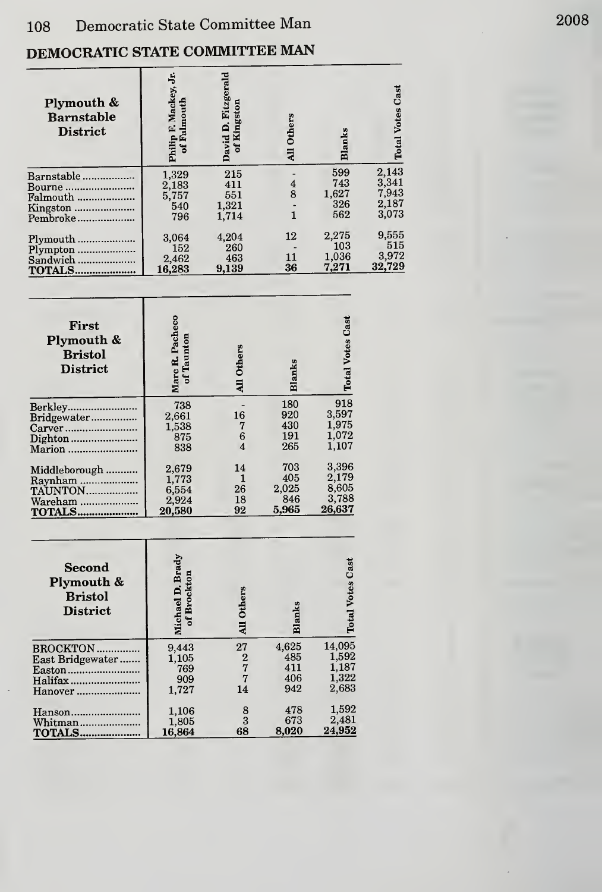#### DEMOCRATIC STATE COMMITTEE MAN

| Plymouth &<br><b>Barnstable</b><br><b>District</b> | F. Mackey,<br>almouth<br>Philip <sup>1</sup><br>r.<br>ិ៍ | Ē<br>Fitzger<br>of Kingston<br>David D. | <b>Others</b><br>$\overline{a}$ | Blanks | Cast<br>Votes<br>Total |
|----------------------------------------------------|----------------------------------------------------------|-----------------------------------------|---------------------------------|--------|------------------------|
| Barnstable                                         | 1,329                                                    | 215                                     |                                 | 599    | 2,143                  |
| Bourne                                             | 2,183                                                    | 411                                     | 4                               | 743    | 3,341                  |
| <b>Falmouth</b>                                    | 5,757                                                    | 551                                     | 8                               | 1,627  | 7,943                  |
| Kingston                                           | 540                                                      | 1,321                                   |                                 | 326    | 2,187                  |
| Pembroke                                           | 796                                                      | 1,714                                   | 1                               | 562    | 3.073                  |
| Plymouth                                           | 3.064                                                    | 4,204                                   | 12                              | 2,275  | 9,555                  |
| Plympton                                           | 152                                                      | 260                                     |                                 | 103    | 515                    |
| Sandwich                                           | 2,462                                                    | 463                                     | 11                              | 1,036  | 3,972                  |
| <b>TOTALS.</b>                                     | 16,283                                                   | 9,139                                   | 36                              | 7,271  | 32,729                 |

| First<br>Plymouth &<br><b>Bristol</b><br><b>District</b> | R. Pacheco<br>Taunton<br>Marc<br>៵ | <b>Others</b><br>E | Blank | $_{\rm Cast}$<br>Votes<br>Total |
|----------------------------------------------------------|------------------------------------|--------------------|-------|---------------------------------|
| Berkley                                                  | 738                                |                    | 180   | 918                             |
| Bridgewater                                              | 2,661                              | 16                 | 920   | 3,597                           |
| Carver                                                   | 1.538                              |                    | 430   | 1.975                           |
| Dighton                                                  | 875                                | 6                  | 191   | 1.072                           |
| Marion                                                   | 838                                | 4                  | 265   | 1,107                           |
| Middleborough                                            | 2,679                              | 14                 | 703   | 3,396                           |
| Raynham                                                  | 1.773                              |                    | 405   | 2,179                           |
| TAUNTON                                                  | 6,554                              | 26                 | 2,025 | 8,605                           |
| Wareham                                                  | 2.924                              | 18                 | 846   | 3,788                           |
| TOTALS                                                   | 20,580                             | 92                 | 5.965 | 26,637                          |

| Second<br>Plymouth &<br><b>Bristol</b><br>District            | Michael D. Brady<br>of Brockton       | ers<br>Ğ                                     | Blanks                            | Cast<br>Votes<br>Total                     |
|---------------------------------------------------------------|---------------------------------------|----------------------------------------------|-----------------------------------|--------------------------------------------|
| BROCKTON.<br>East Bridgewater<br>Easton<br>Halifax<br>Hanover | 9,443<br>1,105<br>769<br>909<br>1,727 | 27<br>$\overline{2}$<br>$\overline{7}$<br>14 | 4,625<br>485<br>411<br>406<br>942 | 14,095<br>1,592<br>1,187<br>1,322<br>2.683 |
| Hanson<br>Whitman.<br>.<br><b>TOTALS</b>                      | 1,106<br>1,805<br>16.864              | 8<br>$\overline{3}$<br>68                    | 478<br>673<br>8.020               | 1,592<br>2,481<br>24,952                   |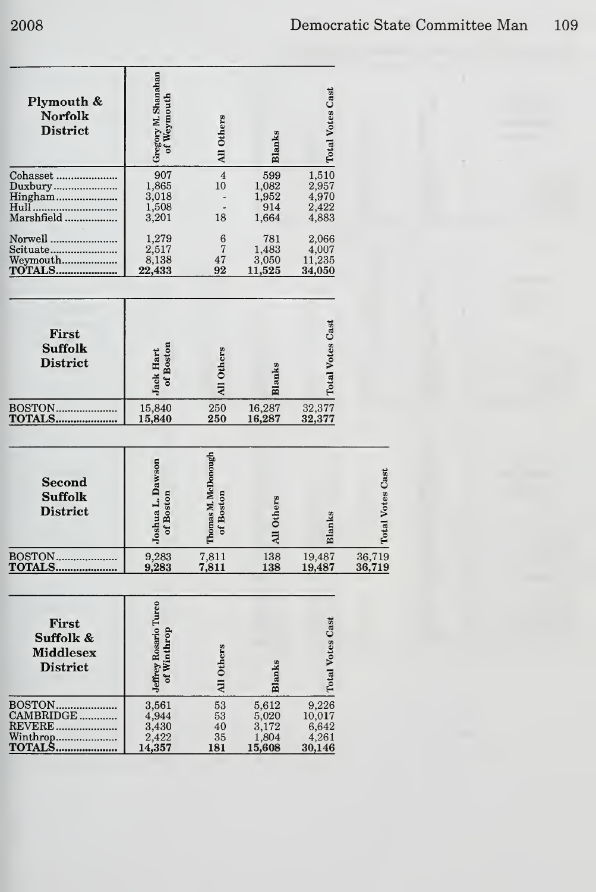| Plymouth &<br><b>Norfolk</b><br><b>District</b>            | Gregory M. Shanahan<br>of Weymouth           | All Others                                                 | Blanks                                     | <b>Total Votes Cast</b>                         |                         |
|------------------------------------------------------------|----------------------------------------------|------------------------------------------------------------|--------------------------------------------|-------------------------------------------------|-------------------------|
| Cohasset<br>Duxbury<br>Hingham                             | 907<br>1,865<br>$_{3,018}$<br>1,508<br>3,201 | $\overline{\bf{4}}$<br>10<br>18                            | 599<br>1,082<br>1,952<br>914<br>1,664      | 1,510<br>2,957<br>4,970<br>2,422<br>4,883       |                         |
| Norwell<br>Scituate<br>Weymouth<br>TOTALS                  | 1,279<br>2,517<br>8,138<br>22,433            | 6<br>$\overline{7}$<br>47<br>92                            | 781<br>1,483<br>3,050<br>11,525            | 2,066<br>4,007<br>11,235<br>34,050              |                         |
| First<br>Suffolk<br><b>District</b>                        | of Boston<br>Jack Hart                       | All Others                                                 | Blanks                                     | <b>Total Votes Cast</b>                         |                         |
| BOSTON.<br>TOTALS                                          | 15,840<br>15,840                             | 250<br>250                                                 | 16,287<br>16,287                           | 32,377<br>32,377                                |                         |
| Second<br><b>Suffolk</b><br><b>District</b>                | Joshua L. Dawson<br>of Boston                | Thomas M. McDonough<br>of Boston                           | All Others                                 | Blanks                                          | <b>Total Votes Cast</b> |
| BOSTON.<br><b>TOTALS</b>                                   | 9,283<br>9,283                               | 7,811<br>7,811                                             | 138<br>138                                 | 19,487<br>19,487                                | 36,719<br>36,719        |
| First<br>Suffolk &<br><b>Middlesex</b><br>District         | Jeffrey Rosario Turco<br>of Winthrop         | All Others                                                 | Blanks                                     | <b>Total Votes Cast</b>                         |                         |
| BOSTON<br>CAMBRIDGE<br><b>REVERE</b><br>Winthrop<br>TOTALS | 3,561<br>4,944<br>3,430<br>2,422<br>14,357   | $\begin{array}{c} 53 \\ 53 \end{array}$<br>40<br>35<br>181 | 5,612<br>5,020<br>3,172<br>1,804<br>15,608 | $9,226$<br>$10,017$<br>6,642<br>4,261<br>30,146 |                         |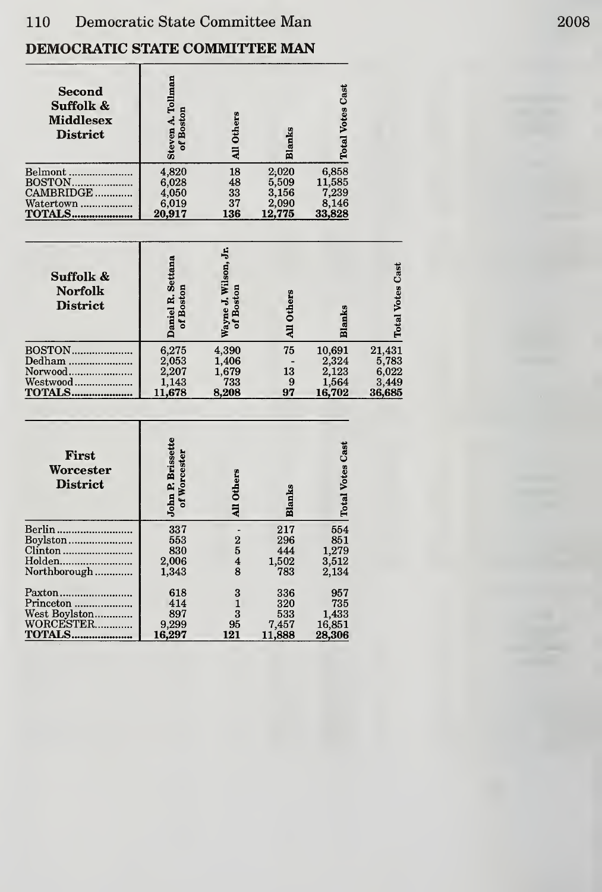# DEMOCRATIC STATE COMMITTEE MAN

т

| <b>Second</b><br>Suffolk &<br><b>Middlesex</b><br><b>District</b>    | Tollman<br>of Boston<br>Steven A.          | <b>Others</b><br>$\overline{a}$            | Blanks                                     | <b>Total Votes Cast</b>                     |                                             |
|----------------------------------------------------------------------|--------------------------------------------|--------------------------------------------|--------------------------------------------|---------------------------------------------|---------------------------------------------|
| Belmont<br><b>BOSTON</b><br>CAMBRIDGE<br>Watertown<br><b>TOTALS</b>  | 4,820<br>6,028<br>4,050<br>6,019<br>20,917 | 18<br>48<br>33<br>37<br>136                | 2,020<br>5,509<br>3,156<br>2,090<br>12,775 | 6,858<br>11,585<br>7,239<br>8,146<br>33,828 |                                             |
| Suffolk &<br><b>Norfolk</b><br><b>District</b>                       | Settana<br>of Boston<br>Daniel R.          | Wayne J. Wilson, Jr.<br><b>Boston</b><br>ិ | All Others                                 | Blanks                                      | <b>Total Votes Cast</b>                     |
| <b>BOSTON</b><br>Dedham<br>.<br>Norwood<br>Westwood<br><b>TOTALS</b> | 6,275<br>2,053<br>2,207<br>1,143<br>11,678 | 4,390<br>1,406<br>1,679<br>733<br>8,208    | 75<br>13<br>9<br>97                        | 10,691<br>2,324<br>2,123<br>1,564<br>16,702 | 21,431<br>5,783<br>6,022<br>3,449<br>36,685 |

| First<br>Worcester<br><b>District</b> | P. Brissette<br>Worcester<br>John<br>៵ | <b>Others</b><br><b>EKA</b> | Blanks | Cast<br><b>Votes</b><br>Total |
|---------------------------------------|----------------------------------------|-----------------------------|--------|-------------------------------|
| Berlin                                | 337                                    |                             | 217    | 554                           |
| Boylston                              | 553                                    |                             | 296    | 851                           |
| Clinton.<br>.                         | 830                                    | $\frac{2}{5}$               | 444    | 1,279                         |
| Holden                                | 2,006                                  | $\frac{4}{8}$               | 1,502  | 3,512                         |
| Northborough                          | 1,343                                  |                             | 783    | 2,134                         |
| Paxton                                | 618                                    | 3                           | 336    | 957                           |
| Princeton                             | 414                                    |                             | 320    | 735                           |
| West Boylston.                        | 897                                    | 3                           | 533    | 1,433                         |
| WORCESTER.                            | 9,299                                  | 95                          | 7,457  | 16,851                        |
| <b>TOTALS</b>                         | 16,297                                 | 121                         | 11,888 | 28,306                        |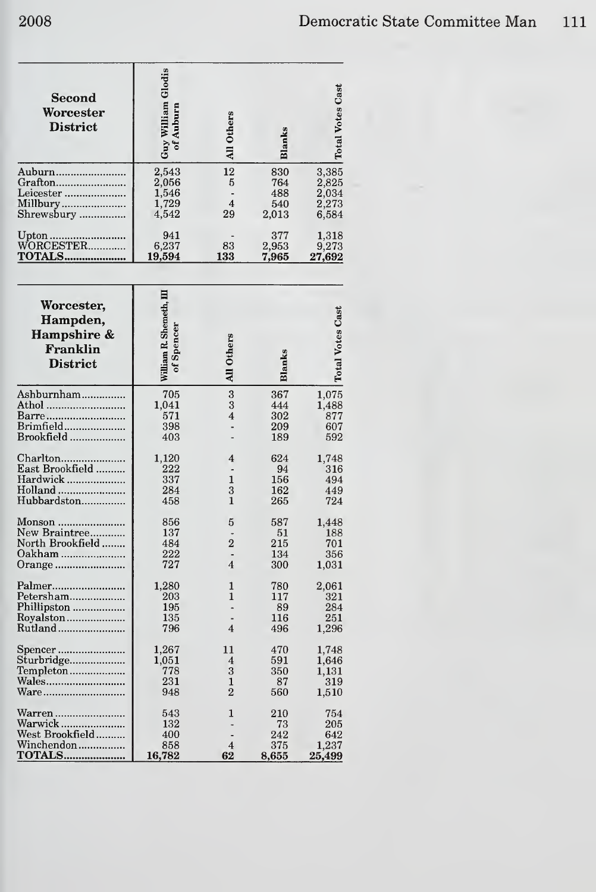| Second<br>Worcester<br><b>District</b>               | Glodis<br>Guy William<br>of Auburn | <b>Others</b><br>$\overline{a}$ | Blanks                         | Cast<br><b>Votes</b><br>Total     |  |
|------------------------------------------------------|------------------------------------|---------------------------------|--------------------------------|-----------------------------------|--|
| Auburn.<br>Grafton<br>Leicester<br>Millbury          | 2,543<br>2,056<br>1,546<br>1,729   | 12<br>5<br>4                    | 830<br>764<br>488<br>540       | 3,385<br>2,825<br>2,034<br>2,273  |  |
| Shrewsbury<br>Upton.<br>WORCESTER.<br><b>TOTALS.</b> | 4,542<br>941<br>6,237<br>19,594    | 29<br>83<br>133                 | 2,013<br>377<br>2,953<br>7,965 | 6,584<br>1,318<br>9,273<br>27,692 |  |

| Worcester,<br>Hampden,<br>Hampshire &<br>Franklin<br><b>District</b> | William R. Shemeth, III<br>Spencer<br>$\sigma$ f | All Others                                     | Blanks                           | <b>Total Votes Cast</b>                 |
|----------------------------------------------------------------------|--------------------------------------------------|------------------------------------------------|----------------------------------|-----------------------------------------|
| Ashburnham<br>Athol<br>Barre<br>Brimfield<br><b>Brookfield</b>       | 705<br>1,041<br>571<br>398<br>403                | 3<br>3<br>4                                    | 367<br>444<br>302<br>209<br>189  | 1,075<br>1,488<br>877<br>607<br>592     |
| Charlton<br>East Brookfield<br>Hardwick<br>Holland<br>Hubbardston    | 1,120<br>222<br>337<br>284<br>458                | 4<br>$\mathbf{1}$<br>3<br>$\mathbf{1}$         | 624<br>94<br>156<br>162<br>265   | 1,748<br>316<br>494<br>449<br>724       |
| Monson<br>New Braintree<br>North Brookfield<br>Oakham<br>Orange      | 856<br>137<br>484<br>222<br>727                  | 5<br>$\overline{2}$<br>$\overline{4}$          | 587<br>51<br>215<br>134<br>300   | 1,448<br>188<br>701<br>356<br>1,031     |
| Palmer<br>Petersham<br>Phillipston<br>Royalston<br>Rutland           | 1,280<br>203<br>195<br>135<br>796                | $\mathbf{1}$<br>$\mathbf{1}$<br>$\overline{4}$ | 780<br>117<br>89<br>116<br>496   | 2,061<br>321<br>284<br>251<br>1,296     |
| Spencer<br>Sturbridge<br>Wales<br>Ware                               | 1,267<br>$1,\!051$<br>778<br>231<br>948          | 11<br>4<br>3<br>$\mathbf{1}$<br>$\overline{2}$ | 470<br>591<br>350<br>87<br>560   | 1,748<br>1,646<br>1,131<br>319<br>1,510 |
| Warren<br>Warwick<br>West Brookfield<br>Winchendon<br><b>TOTALS</b>  | 543<br>132<br>400<br>858<br>16,782               | $\mathbf{1}$<br>$\overline{4}$<br>62           | 210<br>73<br>242<br>375<br>8,655 | 754<br>205<br>642<br>1,237<br>25,499    |

2008 Democratic State Committee Man 111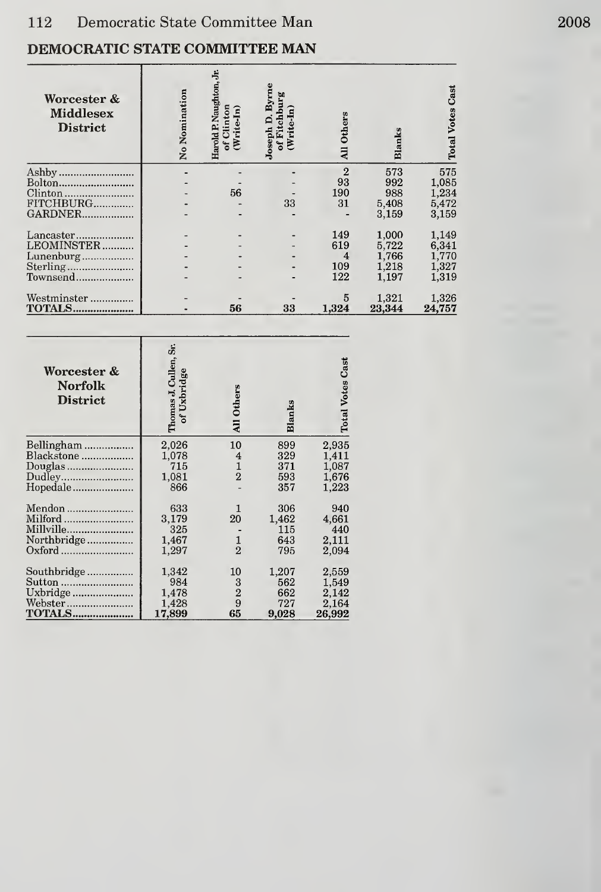### DEMOCRATIC STATE COMMITTEE MAN

| $\overline{2}$<br>573<br>93<br>Bolton<br>992<br>1,085<br>190<br>988<br>56<br>1,234<br>Clinton<br>FITCHBURG<br>31<br>33<br>5,408<br>5,472<br>GARDNER.<br>3,159<br>.<br>149<br>1,000<br>Lancaster<br>LEOMINSTER<br>619<br>5,722<br>$\label{eq:unenburg} \textbf{Lunenburg} \dots \dots \dots \dots \dots$<br>1,766<br>109<br>1,218<br>122<br>1,197<br>Westminster<br>1,321<br>5<br><b>TOTALS</b><br>56<br>33<br>1,324<br>23,344 | Worcester &<br><b>Middlesex</b><br><b>District</b> | No Nomination | Harold P. Naughton, Jr.<br>of Clinton<br>$(Write-In)$ | Byrne<br>of Fitchburg<br>(Write-In)<br>Joseph D. | <b>Others</b><br><b>E</b> | Blanks | <b>Total Votes Cast</b> |
|-------------------------------------------------------------------------------------------------------------------------------------------------------------------------------------------------------------------------------------------------------------------------------------------------------------------------------------------------------------------------------------------------------------------------------|----------------------------------------------------|---------------|-------------------------------------------------------|--------------------------------------------------|---------------------------|--------|-------------------------|
|                                                                                                                                                                                                                                                                                                                                                                                                                               |                                                    |               |                                                       |                                                  |                           |        | 575                     |
|                                                                                                                                                                                                                                                                                                                                                                                                                               |                                                    |               |                                                       |                                                  |                           |        |                         |
|                                                                                                                                                                                                                                                                                                                                                                                                                               |                                                    |               |                                                       |                                                  |                           |        |                         |
|                                                                                                                                                                                                                                                                                                                                                                                                                               |                                                    |               |                                                       |                                                  |                           |        | 3,159                   |
|                                                                                                                                                                                                                                                                                                                                                                                                                               |                                                    |               |                                                       |                                                  |                           |        | 1,149                   |
|                                                                                                                                                                                                                                                                                                                                                                                                                               |                                                    |               |                                                       |                                                  |                           |        | 6,341                   |
|                                                                                                                                                                                                                                                                                                                                                                                                                               |                                                    |               |                                                       |                                                  |                           |        | 1,770                   |
|                                                                                                                                                                                                                                                                                                                                                                                                                               |                                                    |               |                                                       |                                                  |                           |        | 1,327                   |
|                                                                                                                                                                                                                                                                                                                                                                                                                               |                                                    |               |                                                       |                                                  |                           |        | 1,319                   |
|                                                                                                                                                                                                                                                                                                                                                                                                                               |                                                    |               |                                                       |                                                  |                           |        | 1,326                   |
|                                                                                                                                                                                                                                                                                                                                                                                                                               |                                                    |               |                                                       |                                                  |                           |        | 24,757                  |

| Worcester &<br><b>Norfolk</b><br><b>District</b>              | Thomas J. Cullen, Sr.<br>of Uxbridge     | <b>Others</b><br>All <sup></sup> | Blanks                              | <b>Total Votes Cast</b>                    |
|---------------------------------------------------------------|------------------------------------------|----------------------------------|-------------------------------------|--------------------------------------------|
| Bellingham<br>Blackstone<br>Douglas<br>Dudley<br>Hopedale     | 2,026<br>1,078<br>715<br>1,081<br>866    | 10<br>$\frac{4}{2}$              | 899<br>329<br>371<br>593<br>357     | 2,935<br>1,411<br>1,087<br>1,676<br>1,223  |
| Mendon<br>Milford<br>Millville<br>Northbridge<br>Oxford       | 633<br>3,179<br>325<br>1,467<br>1,297    | 1<br>20<br>$\frac{1}{2}$         | 306<br>1,462<br>115<br>643<br>795   | 940<br>4,661<br>440<br>2,111<br>2,094      |
| Southbridge<br>Sutton<br>Uxbridge<br>Webster<br><b>TOTALS</b> | 1,342<br>984<br>1,478<br>1,428<br>17,899 | 10<br>3<br>$\frac{2}{9}$<br>65   | 1,207<br>562<br>662<br>727<br>9,028 | 2,559<br>1,549<br>2,142<br>2,164<br>26,992 |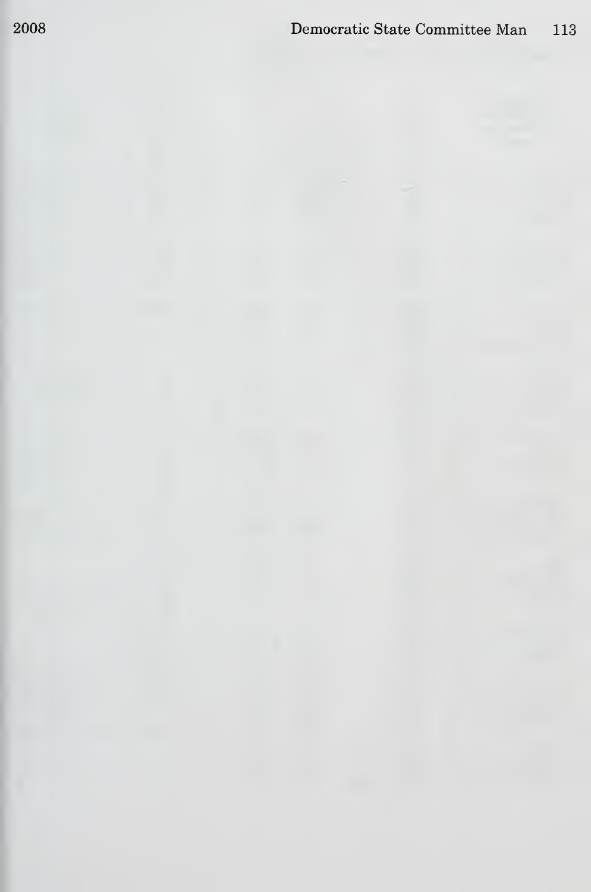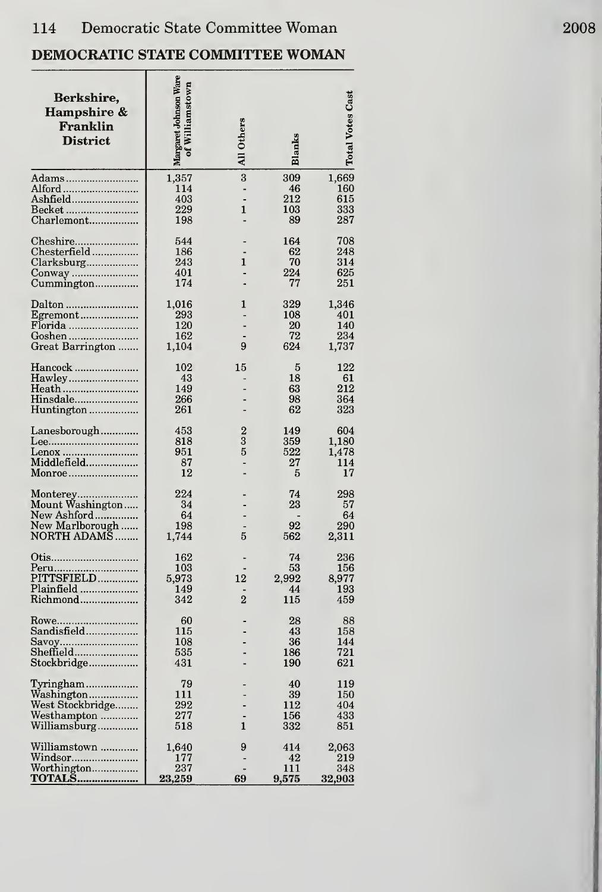| <b>DEMOCRATIC STATE COMMITTEE WOMAN</b> |  |
|-----------------------------------------|--|
|-----------------------------------------|--|

| Berkshire,<br>Hampshire &<br>Franklin<br><b>District</b>                      | Margaret Johnson Ware<br>of Williamstown | All Others                      | Blanks                         | <b>Total Votes Cast</b>             |
|-------------------------------------------------------------------------------|------------------------------------------|---------------------------------|--------------------------------|-------------------------------------|
| Adams<br>Alford<br>Ashfield<br>Becket<br>Charlemont                           | 1,357<br>114<br>403<br>229<br>198        | 3<br>$\mathbf{1}$               | 309<br>46<br>212<br>103<br>89  | 1,669<br>160<br>615<br>333<br>287   |
| Cheshire<br>Chesterfield<br>Clarksburg<br>Conway<br>Cummington                | 544<br>186<br>243<br>401<br>174          | $\mathbf{1}$                    | 164<br>62<br>70<br>224<br>77   | 708<br>248<br>314<br>625<br>251     |
| Dalton<br>Egremont<br>Florida<br>Goshen<br>Great Barrington                   | 1,016<br>293<br>120<br>162<br>1,104      | 1<br>9                          | 329<br>108<br>20<br>72<br>624  | 1,346<br>401<br>140<br>234<br>1,737 |
| Hancock<br>Hawley<br>Heath<br>Hinsdale<br>Huntington                          | 102<br>43<br>149<br>266<br>261           | 15                              | 5<br>18<br>63<br>98<br>62      | 122<br>61<br>212<br>364<br>323      |
| Lanesborough<br>Lee<br>Lenox<br>Middlefield<br>Monroe                         | 453<br>818<br>951<br>87<br>12            | $\frac{2}{3}$<br>$\overline{5}$ | 149<br>359<br>522<br>27<br>5   | 604<br>1,180<br>1,478<br>114<br>17  |
| Monterey<br>Mount Washington<br>New Ashford<br>New Marlborough<br>NORTH ADAMS | 224<br>34<br>64<br>198<br>1,744          | 5                               | 74<br>23<br>92<br>562          | 298<br>57<br>64<br>290<br>2,311     |
| Otis<br>PITTSFIELD<br>Plainfield<br>Richmond                                  | 162<br>103<br>5,973<br>149<br>342        | 12<br>$\overline{2}$            | 74<br>53<br>2,992<br>44<br>115 | 236<br>156<br>8,977<br>193<br>459   |
| Rowe<br>Sandisfield<br>Savoy<br>Sheffield<br>Stockbridge                      | 60<br>115<br>108<br>535<br>431           |                                 | 28<br>43<br>36<br>186<br>190   | 88<br>158<br>144<br>721<br>621      |
| Tyringham<br>Washington<br>West Stockbridge<br>Westhampton<br>Williamsburg    | 79<br>111<br>292<br>277<br>518           | $\mathbf{1}$                    | 40<br>39<br>112<br>156<br>332  | 119<br>150<br>404<br>433<br>851     |
| Williamstown<br>Windsor<br>Worthington<br><b>TOTALS</b>                       | $1{,}640$<br>177<br>237<br>23,259        | 9<br>69                         | 414<br>42<br>111<br>9,575      | 2,063<br>219<br>348<br>32,903       |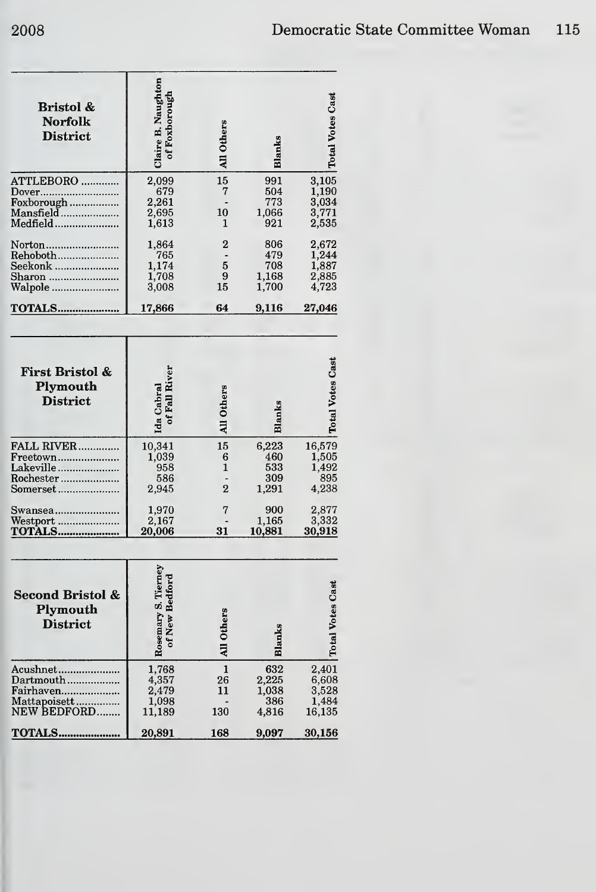| <b>Bristol &amp;</b><br><b>Norfolk</b><br><b>District</b>          | Claire B. Naughton<br>of Foxborough        | All Others                      | Blanks                                | <b>Total Votes Cast</b>                       |
|--------------------------------------------------------------------|--------------------------------------------|---------------------------------|---------------------------------------|-----------------------------------------------|
| ATTLEBORO<br>Dover<br>Foxborough<br>Medfield                       | 2,099<br>679<br>2,261<br>2,695<br>1,613    | 15<br>7<br>10<br>1              | 991<br>504<br>773<br>1,066<br>921     | 3,105<br>1,190<br>3,034<br>3,771<br>$2{,}535$ |
| Norton<br>Rehoboth<br>Seekonk<br>Sharon<br>Walpole                 | 1,864<br>765<br>1,174<br>1,708<br>3,008    | 2<br>5<br>9<br>15               | 806<br>479<br>708<br>1,168<br>1,700   | 2,672<br>1,244<br>1,887<br>2,885<br>4,723     |
| <b>TOTALS</b>                                                      | 17,866                                     | 64                              | 9,116                                 | 27,046                                        |
| <b>First Bristol &amp;</b><br>Plymouth<br><b>District</b>          | of Fall River<br>Ida Cabral                | All Others                      | Blanks                                | <b>Total Votes Cast</b>                       |
| FALL RIVER<br>Freetown<br>Lakeville<br>Rochester<br>Somerset       | 10,341<br>1,039<br>958<br>586<br>2,945     | 15<br>6<br>1<br>$\overline{2}$  | 6,223<br>460<br>533<br>309<br>1,291   | 16,579<br>1,505<br>1,492<br>895<br>4,238      |
| Swansea<br>Westport<br>TOTALS                                      | 1,970<br>2,167<br>20,006                   | 7<br>31                         | 900<br>1,165<br>10,881                | 2,877<br>3,332<br>30,918                      |
| <b>Second Bristol &amp;</b><br>Plymouth<br><b>District</b>         | ey<br>Rosemary S. Tiern<br>of New Bedford  | All Others                      | Blanks                                | <b>Total Votes Cast</b>                       |
| Acushnet<br>Dartmouth<br>Fairhaven<br>Mattapoisett<br>NEW BEDFORD. | 1,768<br>4,357<br>2,479<br>1,098<br>11,189 | $\mathbf{1}$<br>26<br>11<br>130 | 632<br>2,225<br>1,038<br>386<br>4,816 | 2,401<br>6,608<br>3,528<br>1,484<br>16,135    |
| TOTALS                                                             | 20,891                                     | 168                             | 9,097                                 | 30,156                                        |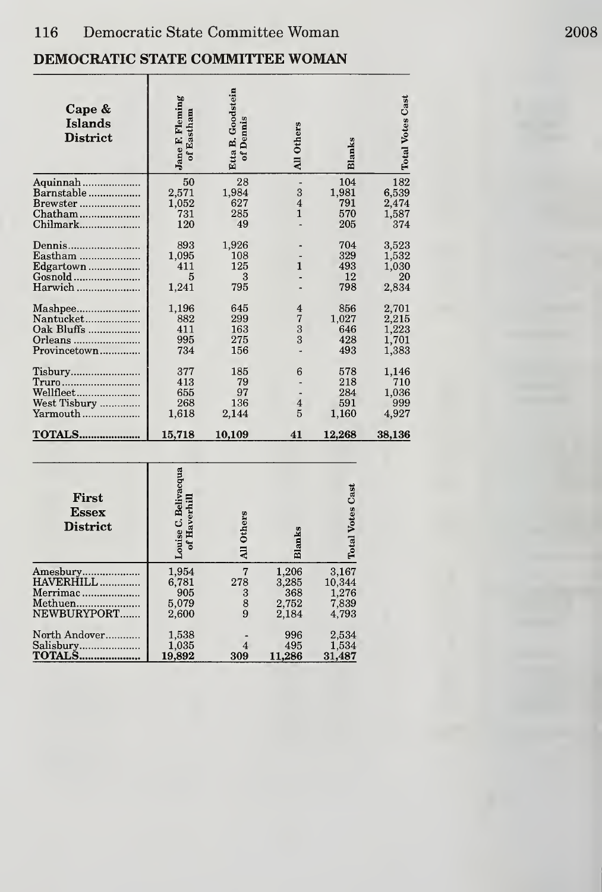| <b>DEMOCRATIC STATE COMMITTEE WOMAN</b> |  |
|-----------------------------------------|--|
|-----------------------------------------|--|

| Cape &<br><b>Islands</b><br><b>District</b> | Jane F. Fleming<br>Eastham<br>$\delta$ | Etta B. Goodstein<br>Dennis<br>$\delta$ | All Others              | Blanks | <b>Total Votes Cast</b> |
|---------------------------------------------|----------------------------------------|-----------------------------------------|-------------------------|--------|-------------------------|
| Aquinnah                                    | 50                                     | 28                                      |                         | 104    | 182                     |
| Barnstable                                  | 2,571                                  | 1,984                                   | 3                       | 1,981  | 6,539                   |
| Brewster                                    | 1,052                                  | 627                                     | $\overline{\mathbf{4}}$ | 791    | 2,474                   |
| Chatham                                     | 731                                    | 285                                     | $\overline{1}$          | 570    | 1,587                   |
| Chilmark                                    | 120                                    | 49                                      |                         | 205    | 374                     |
| Dennis                                      | 893                                    | 1,926                                   |                         | 704    | 3,523                   |
| Eastham                                     | 1,095                                  | 108                                     |                         | 329    | 1,532                   |
| Edgartown                                   | 411                                    | 125                                     | $\mathbf{1}$            | 493    | 1,030                   |
| Gosnold                                     | 5                                      | 3                                       |                         | 12     | 20                      |
|                                             | 1,241                                  | 795                                     |                         | 798    | 2,834                   |
| Mashpee                                     | 1,196                                  | 645                                     | 4                       | 856    | 2,701                   |
| Nantucket                                   | 882                                    | 299                                     | 7                       | 1,027  | 2,215                   |
| Oak Bluffs                                  | 411                                    | 163                                     | 3                       | 646    | 1,223                   |
| Orleans                                     | 995                                    | 275                                     | $\bar{3}$               | 428    | 1,701                   |
| Provincetown                                | 734                                    | 156                                     |                         | 493    | 1,383                   |
| Tisbury                                     | 377                                    | 185                                     | 6                       | 578    | 1,146                   |
| Truro                                       | 413                                    | 79                                      |                         | 218    | 710                     |
| Wellfleet                                   | 655                                    | 97                                      |                         | 284    | 1,036                   |
| West Tisbury                                | 268                                    | 136                                     | $\overline{4}$          | 591    | 999                     |
| Yarmouth                                    | 1,618                                  | 2,144                                   | 5                       | 1,160  | 4,927                   |
| <b>TOTALS</b>                               | 15,718                                 | 10,109                                  | 41                      | 12,268 | 38,136                  |

| First<br><b>Essex</b><br><b>District</b>                    | Louise C. Belivacqua<br>of Haverhil     | <b>Others</b><br>$\overline{a}$ | Blanks                                  | Cast<br>Votes<br>Total                     |  |
|-------------------------------------------------------------|-----------------------------------------|---------------------------------|-----------------------------------------|--------------------------------------------|--|
| Amesbury<br>HAVERHILL<br>Merrimac<br>Methuen<br>NEWBURYPORT | 1,954<br>6,781<br>905<br>5,079<br>2,600 | 278<br>$\frac{3}{8}$            | 1,206<br>3,285<br>368<br>2,752<br>2,184 | 3,167<br>10,344<br>1,276<br>7,839<br>4,793 |  |
| North Andover<br>Salisbury<br><b>TOTALŠ</b>                 | 1,538<br>1,035<br>19,892                | 309                             | 996<br>495<br>11,286                    | 2,534<br>1,534<br>31,487                   |  |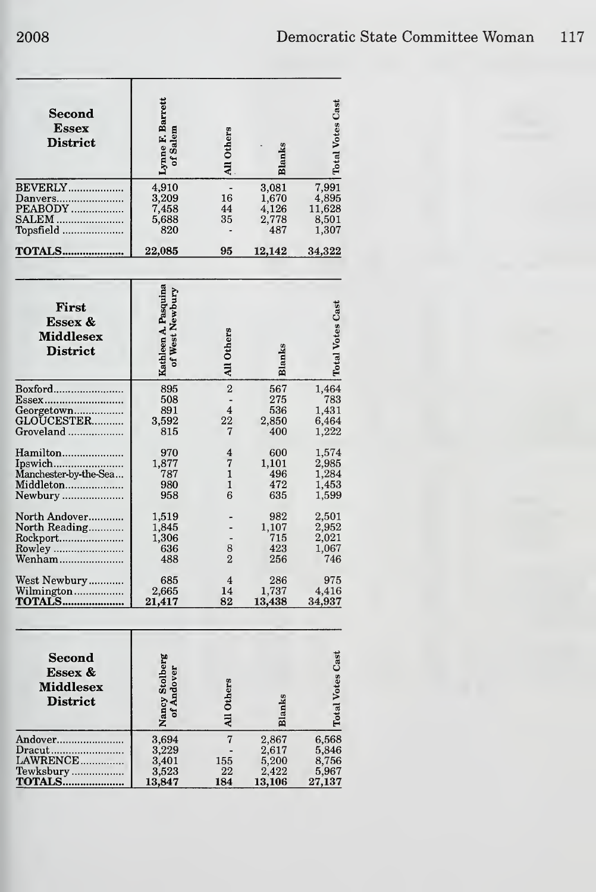| <b>Total Votes Cast</b>                    |
|--------------------------------------------|
| 7,991<br>4,895<br>11,628<br>8,501<br>1,307 |
| 34,322                                     |
| <b>Total Votes Cast</b>                    |
| 1,464<br>783<br>1,431<br>6,464<br>1,222    |
| 1,574<br>2,985<br>1,284<br>1,453<br>1,599  |
| 2,501<br>2,952<br>2,021<br>1,067<br>746    |
| 975<br>4,416<br>34,937                     |
|                                            |

| Second<br>Essex &<br><b>Middlesex</b><br><b>District</b> | ver<br>Stolb<br>Idove:<br>Nan<br>of |     |        | Vot    |
|----------------------------------------------------------|-------------------------------------|-----|--------|--------|
| Andover                                                  | 3,694                               |     | 2,867  | 6,568  |
|                                                          | 3,229                               |     | 2,617  | 5,846  |
| LAWRENCE                                                 | 3,401                               | 155 | 5,200  | 8,756  |
| Tewksbury                                                | 3,523                               | 22  | 2,422  | 5,967  |
| <b>TOTALS</b>                                            | $\boldsymbol{13.847}$               | 184 | 13,106 | 27,137 |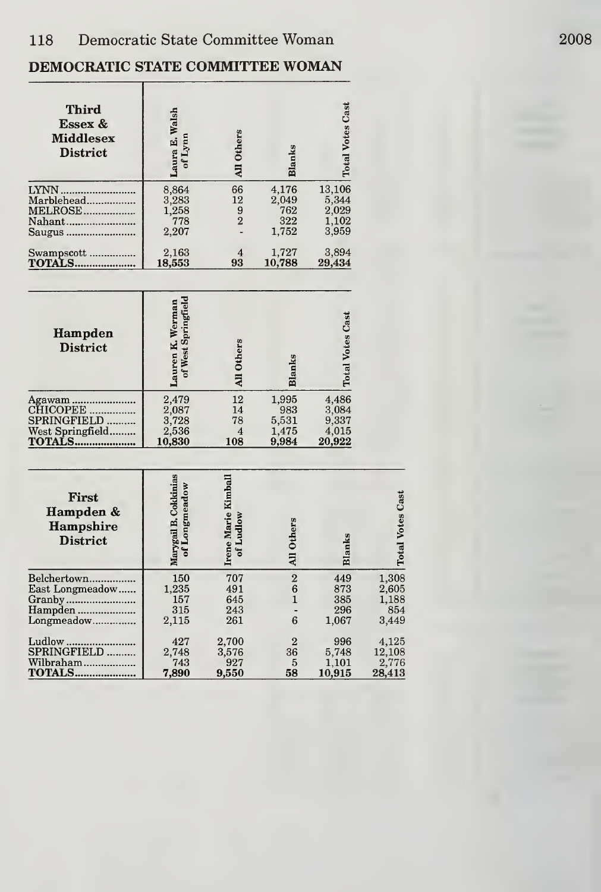# DEMOCRATIC STATE COMMITTEE WOMAN

Τ

| <b>Third</b><br>Essex &<br><b>Middlesex</b><br><b>District</b>  | Walsh<br>vnr<br>цi<br>aura              | <b>Others</b><br>AII            | Blanks                                | Cast<br>Votes<br>Total                     |
|-----------------------------------------------------------------|-----------------------------------------|---------------------------------|---------------------------------------|--------------------------------------------|
| <b>LYNN</b><br>Marblehead<br><b>MELROSE</b><br>Nahant<br>Saugus | 8,864<br>3,283<br>1,258<br>778<br>2,207 | 66<br>12<br>9<br>$\overline{2}$ | 4,176<br>2,049<br>762<br>322<br>1,752 | 13,106<br>5,344<br>2,029<br>1,102<br>3,959 |
| Swampscott<br>TOTALS.                                           | 2,163<br>18,553                         | 93                              | 1,727<br>10,788                       | 3,894<br>29,434                            |

| Hampden<br><b>District</b> | ringfiel<br>erman<br>West<br>auren<br><b>b</b> |          | æ            | 3<br>Total     |
|----------------------------|------------------------------------------------|----------|--------------|----------------|
| Agawam<br><b>CHICOPEE</b>  | 2,479<br>2,087                                 | 12<br>14 | 1,995<br>983 | 4,486<br>3,084 |
| SPRINGFIELD                | 3,728                                          | 78       | 5,531        | 9,337          |
| West Springfield           | 2,536                                          |          | 1,475        | 4,015          |
| <b>TOTALS</b>              | 10.830                                         | 108      | 9.984        | 20.922         |

| First<br>Hampden &<br>Hampshire<br><b>District</b> | Marygail B. Cokkinias<br>ongmeadow<br>ð | Kimball<br>Marie<br>of Ludlow<br>Irene | <b>Others</b><br>All <sub></sub> | Blanks | Cast<br>Votes<br>Total |
|----------------------------------------------------|-----------------------------------------|----------------------------------------|----------------------------------|--------|------------------------|
| Belchertown                                        | 150                                     | 707                                    | $\overline{2}$                   | 449    | 1,308                  |
| East Longmeadow                                    | 1,235                                   | 491                                    | 6                                | 873    | 2,605                  |
| Granby                                             | 157                                     | 645                                    | 1                                | 385    | 1,188                  |
| Hampden                                            | 315                                     | 243                                    |                                  | 296    | 854                    |
| Longmeadow                                         | 2,115                                   | 261                                    | 6                                | 1,067  | 3,449                  |
| Ludlow                                             | 427                                     | 2,700                                  | $\overline{2}$                   | 996    | 4,125                  |
| <b>SPRINGFIELD</b>                                 | 2,748                                   | 3,576                                  | 36                               | 5,748  | 12,108                 |
| Wilbraham                                          | 743                                     | 927                                    | 5                                | 1,101  | 2,776                  |
| <b>TOTALS</b>                                      | 7,890                                   | 9,550                                  | 58                               | 10,915 | 28,413                 |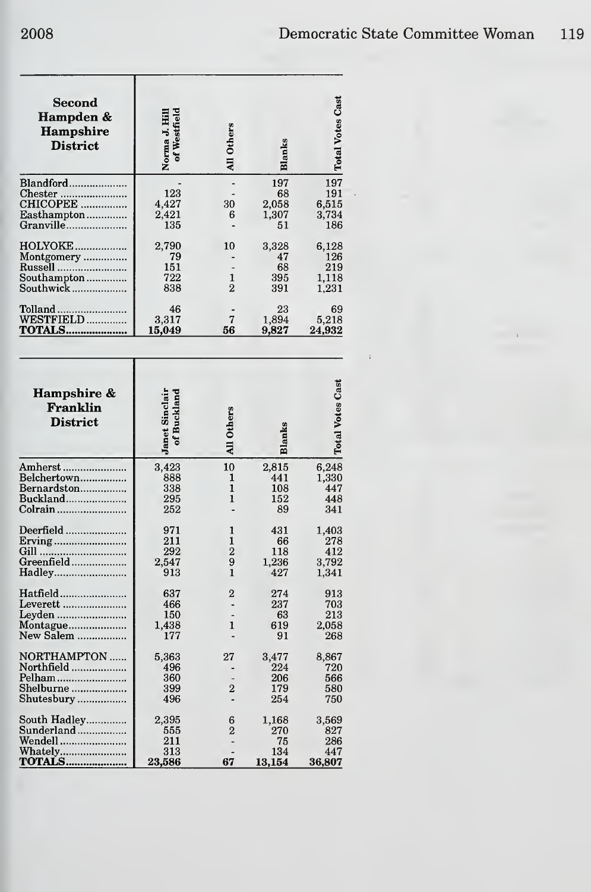$\cdot$ 

**Contractor** 

| $\rm 2008$ |  |  |
|------------|--|--|
|            |  |  |

| Second<br>Hampden &<br>Hampshire<br><b>District</b>                          | of Westfield<br>Norma J. Hill        | All Others                              | Blanks                              | <b>Total Votes Cast</b>               |
|------------------------------------------------------------------------------|--------------------------------------|-----------------------------------------|-------------------------------------|---------------------------------------|
| Blandford<br>Chester<br>CHICOPEE<br>Easthampton<br>Granville                 | 123<br>4,427<br>2,421<br>135         | 30<br>6                                 | 197<br>68<br>2,058<br>1,307<br>51   | 197<br>191<br>6,515<br>3,734<br>186   |
| <b>HOLYOKE </b><br>Montgomery<br><b>Russell </b><br>Southampton<br>Southwick | 2,790<br>79<br>151<br>722<br>838     | 10<br>1<br>$\overline{2}$               | 3,328<br>47<br>68<br>395<br>391     | 6,128<br>126<br>219<br>1,118<br>1,231 |
| Tolland<br>WESTFIELD<br><b>TOTALS</b>                                        | 46<br>3,317<br>15,049                | 7<br>56                                 | 23<br>1,894<br>9,827                | 69<br>5,218<br>24,932                 |
|                                                                              |                                      |                                         |                                     |                                       |
| Hampshire &<br>Franklin<br><b>District</b>                                   | <b>Janet Sinclair</b><br>of Buckland | All Others                              | <b>Blanks</b>                       | <b>Total Votes Cast</b>               |
| Amherst<br>Belchertown<br>Bernardston<br>Buckland<br>Colrain                 | 3,423<br>888<br>338<br>295<br>252    | 10<br>1<br>$\mathbf{1}$<br>$\mathbf{1}$ | 2,815<br>441<br>108<br>152<br>89    | 6,248<br>1,330<br>447<br>448<br>341   |
| Deerfield<br>Erving<br>Gill<br>Greenfield<br>Hadley                          | 971<br>211<br>292<br>2,547<br>913    | 1<br>$\mathbf{1}$<br>$\frac{2}{9}$      | 431<br>66<br>118<br>1,236<br>427    | 1,403<br>278<br>412<br>3,792<br>1,341 |
| Hatfield<br>Leverett<br>Leyden<br>Montague<br>New Salem                      | 637<br>466<br>150<br>1,438<br>177    | $\overline{2}$<br>1                     | 274<br>237<br>63<br>619<br>91       | 913<br>703<br>213<br>2,058<br>268     |
| NORTHAMPTON<br><b>Northfield </b><br>Pelham<br>Shelburne<br>Shutesbury       | 5,363<br>496<br>360<br>399<br>496    | 27<br>$\overline{2}$                    | 3,477<br>224<br>206<br>179<br>254   | 8,867<br>720<br>566<br>580<br>750     |
| South Hadley<br>Sunderland<br>Wendell<br>Whately<br><b>TOTALS</b>            | 2,395<br>555<br>211<br>313<br>23,586 | 6<br>2<br>67                            | 1,168<br>270<br>75<br>134<br>13,154 | 3,569<br>827<br>286<br>447<br>36,807  |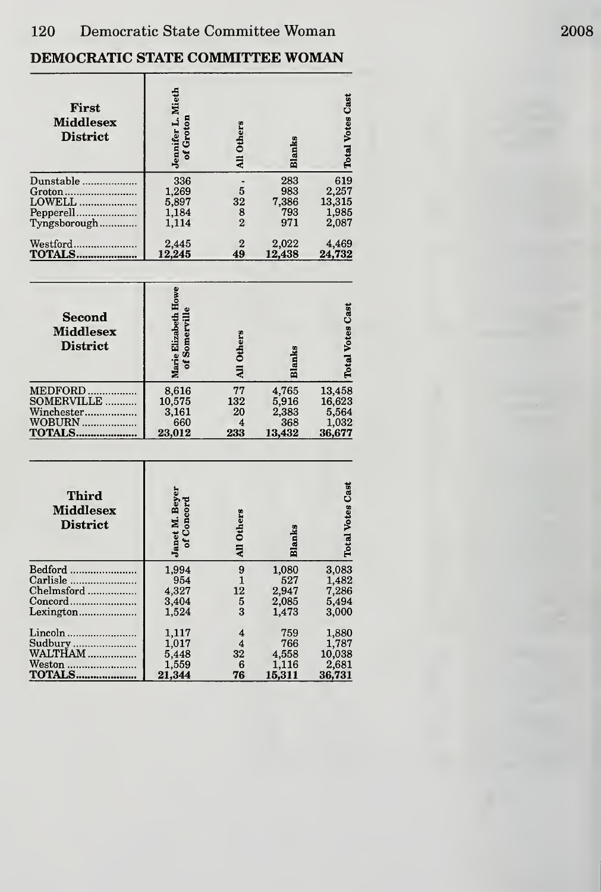#### DEMOCRATIC STATE COMMITTEE WOMAN

| <b>First</b><br><b>Middlesex</b><br><b>District</b> | Mieth<br>Groton<br><b>Jennifer</b> I<br>ð | Others<br>Ę                    | Blanks                            | Cast<br>Votes<br>Total                   |
|-----------------------------------------------------|-------------------------------------------|--------------------------------|-----------------------------------|------------------------------------------|
| Dunstable<br>LOWELL<br>Pepperell<br>Tyngsborough    | 336<br>1,269<br>5,897<br>1,184<br>1,114   | 5<br>32<br>8<br>$\overline{2}$ | 283<br>983<br>7,386<br>793<br>971 | 619<br>2,257<br>13,315<br>1,985<br>2.087 |
| Westford<br>TOTALS.                                 | 2,445<br>12,245                           | 49                             | 2,022<br>12,438                   | 4,469<br>24,732                          |

| Second<br><b>Middlesex</b><br><b>District</b> | Howe<br><b>Marie Elizabeth<br/>of Somervill</b> | <b>Others</b> | ක              | $\cos t$<br>Votes<br>Total |
|-----------------------------------------------|-------------------------------------------------|---------------|----------------|----------------------------|
| MEDFORD<br>SOMERVILLE                         | 8,616<br>10,575                                 | 77<br>132     | 4,765<br>5,916 | 13,458<br>16,623           |
| Winchester                                    | 3,161                                           | 20            | 2,383          | 5,564                      |
| <b>WOBURN</b><br>.                            | 660                                             | 4             | 368            | 1,032                      |
| <b>TOTALS</b>                                 | 23,012                                          | 233           | 13,432         | 36,677                     |

| <b>Third</b><br><b>Middlesex</b><br><b>District</b> | Janet M. Bey<br>of Concord | <b>Others</b><br>$\overline{a}$ | Blanks | Cast<br>Votes<br>Total |  |
|-----------------------------------------------------|----------------------------|---------------------------------|--------|------------------------|--|
| Bedford                                             | 1,994                      | 9                               | 1,080  | 3,083                  |  |
| Carlisle                                            | 954                        |                                 | 527    | 1,482                  |  |
| Chelmsford                                          | 4,327                      | 12                              | 2,947  | 7,286                  |  |
| Concord                                             | 3.404                      |                                 | 2.085  | 5,494                  |  |
| Lexington                                           | 1,524                      | $\frac{5}{3}$                   | 1,473  | 3,000                  |  |
|                                                     | 1,117                      | 4                               | 759    | 1,880                  |  |
| Sudbury                                             | 1,017                      | 4                               | 766    | 1,787                  |  |
| <b>WALTHAM</b>                                      | 5,448                      | 32                              | 4,558  | 10,038                 |  |
| Weston                                              | 1,559                      | 6                               | 1,116  | 2,681                  |  |
| <b>TOTALS</b>                                       | 21,344                     | 76                              | 15,311 | 36,731                 |  |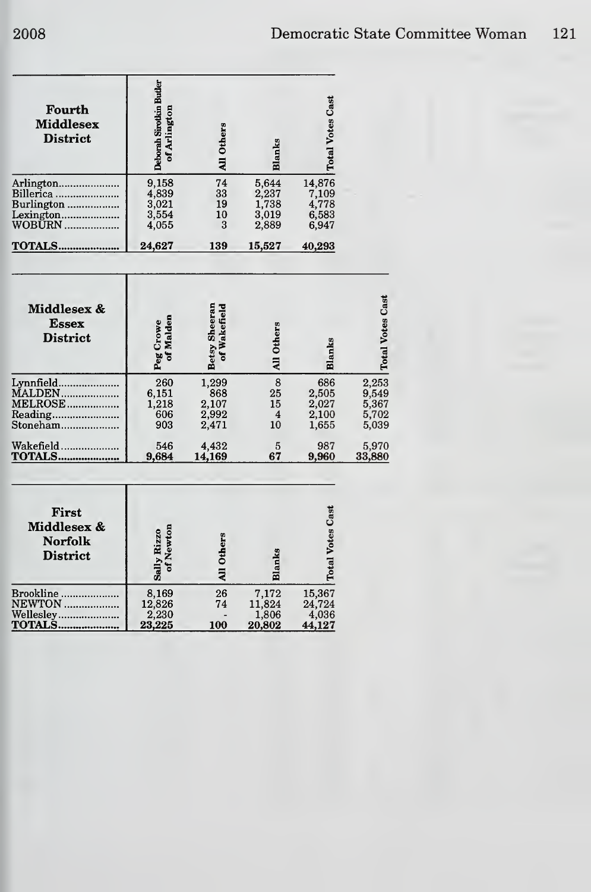| Fourth<br><b>Middlesex</b><br><b>District</b>                     | Deborah Sirotkin Butler<br>Arlington<br>뉭 | <b>Others</b>             | Blank                                     | Cast<br><b>Total Votes</b>                 |  |
|-------------------------------------------------------------------|-------------------------------------------|---------------------------|-------------------------------------------|--------------------------------------------|--|
| Arlington.<br>Billerica<br><br>Burlington<br>Lexington.<br>WOBURN | 9,158<br>4,839<br>3,021<br>3,554<br>4,055 | 74<br>33<br>19<br>10<br>3 | 5,644<br>2,237<br>1,738<br>3,019<br>2,889 | 14,876<br>7,109<br>4,778<br>6,583<br>6,947 |  |
| <b>TOTALS.</b>                                                    | 24,627                                    | 139                       | 15,527                                    | 40,293                                     |  |

| Middlesex &<br><b>Essex</b><br><b>District</b> | Malden<br>Crowe<br>ិ៍<br>Peg | Sheeran<br>Wakefield<br><b>Betsy</b><br>ិ | <b>Others</b>  | Blanks | Cast<br>Votes<br>Total |
|------------------------------------------------|------------------------------|-------------------------------------------|----------------|--------|------------------------|
| Lynnfield.                                     | 260                          | 1,299                                     | 8              | 686    | 2,253                  |
| MALDEN                                         | 6,151                        | 868                                       | 25             | 2,505  | 9,549                  |
| MELROSE                                        | 1,218                        | 2,107                                     | 15             | 2,027  | 5,367                  |
| Reading.<br>                                   | 606                          | 2,992                                     | $\overline{4}$ | 2,100  | 5,702                  |
| Stoneham                                       | 903                          | 2,471                                     | 10             | 1,655  | 5,039                  |
| Wakefield                                      | 546                          | 4,432                                     | 5              | 987    | 5,970                  |
| <b>TOTALS</b>                                  | 9,684                        | 14,169                                    | 67             | 9,960  | 33,880                 |

| <b>First</b><br>Middlesex &<br><b>Norfolk</b><br><b>District</b> | Sally Rizzo<br>of Newton<br>Rizzo  |                 |                                    | Votes                               |
|------------------------------------------------------------------|------------------------------------|-----------------|------------------------------------|-------------------------------------|
| Brookline<br><b>NEWTON</b><br>Wellesley<br><b>TOTALS</b>         | 8,169<br>12,826<br>2,230<br>23,225 | 26<br>74<br>100 | 7,172<br>11,824<br>1,806<br>20,802 | 15,367<br>24,724<br>4,036<br>44.127 |